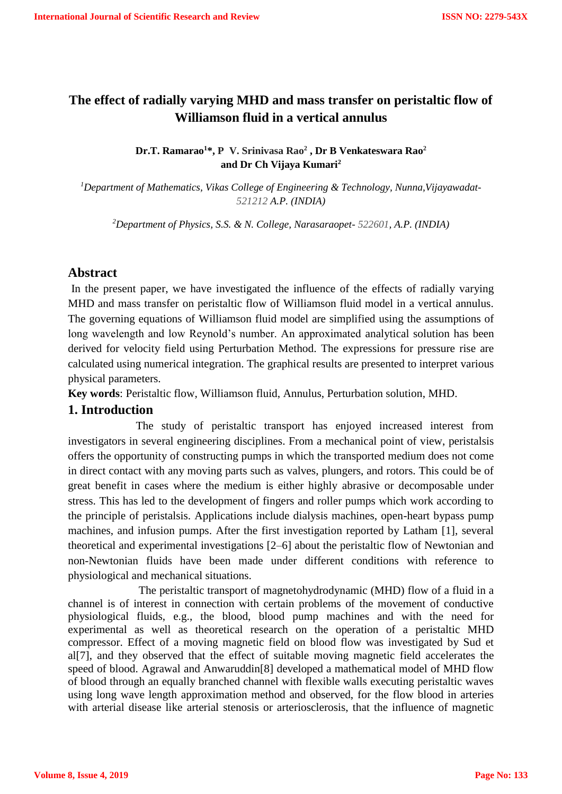# **The effect of radially varying MHD and mass transfer on peristaltic flow of Williamson fluid in a vertical annulus**

## **Dr.T. Ramarao<sup>1</sup>\*, P V. Srinivasa Rao<sup>2</sup> , Dr B Venkateswara Rao<sup>2</sup> and Dr Ch Vijaya Kumari<sup>2</sup>**

*<sup>1</sup>Department of Mathematics, Vikas College of Engineering & Technology, Nunna,Vijayawadat-521212 A.P. (INDIA)*

*<sup>2</sup>Department of Physics, S.S. & N. College, Narasaraopet- 522601, A.P. (INDIA)*

### **Abstract**

In the present paper, we have investigated the influence of the effects of radially varying MHD and mass transfer on peristaltic flow of Williamson fluid model in a vertical annulus. The governing equations of Williamson fluid model are simplified using the assumptions of long wavelength and low Reynold's number. An approximated analytical solution has been derived for velocity field using Perturbation Method. The expressions for pressure rise are calculated using numerical integration. The graphical results are presented to interpret various physical parameters.

**Key words**: Peristaltic flow, Williamson fluid, Annulus, Perturbation solution, MHD.

# **1. Introduction**

 The study of peristaltic transport has enjoyed increased interest from investigators in several engineering disciplines. From a mechanical point of view, peristalsis offers the opportunity of constructing pumps in which the transported medium does not come in direct contact with any moving parts such as valves, plungers, and rotors. This could be of great benefit in cases where the medium is either highly abrasive or decomposable under stress. This has led to the development of fingers and roller pumps which work according to the principle of peristalsis. Applications include dialysis machines, open-heart bypass pump machines, and infusion pumps. After the first investigation reported by Latham [1], several theoretical and experimental investigations [2–6] about the peristaltic flow of Newtonian and non-Newtonian fluids have been made under different conditions with reference to physiological and mechanical situations.

 The peristaltic transport of magnetohydrodynamic (MHD) flow of a fluid in a channel is of interest in connection with certain problems of the movement of conductive physiological fluids, e.g., the blood, blood pump machines and with the need for experimental as well as theoretical research on the operation of a peristaltic MHD compressor. Effect of a moving magnetic field on blood flow was investigated by Sud et al[7], and they observed that the effect of suitable moving magnetic field accelerates the speed of blood. Agrawal and Anwaruddin[8] developed a mathematical model of MHD flow of blood through an equally branched channel with flexible walls executing peristaltic waves using long wave length approximation method and observed, for the flow blood in arteries with arterial disease like arterial stenosis or arteriosclerosis, that the influence of magnetic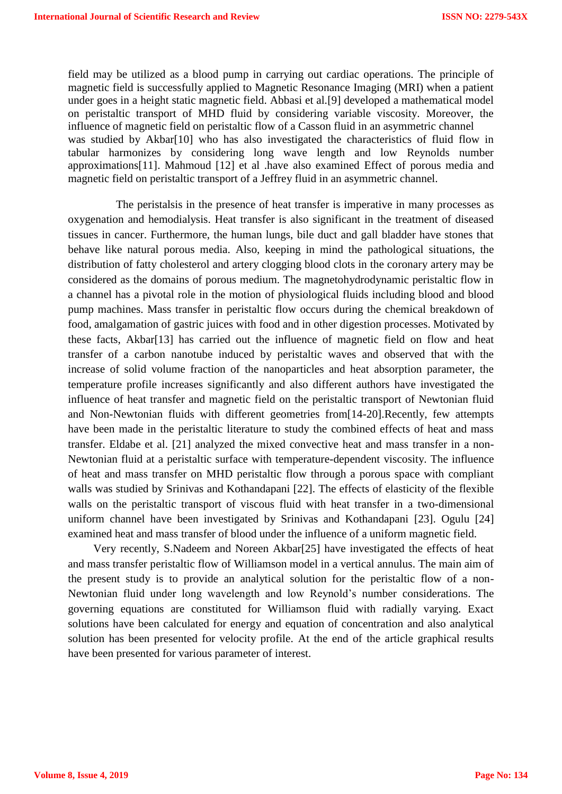field may be utilized as a blood pump in carrying out cardiac operations. The principle of magnetic field is successfully applied to Magnetic Resonance Imaging (MRI) when a patient under goes in a height static magnetic field. Abbasi et al.[9] developed a mathematical model on peristaltic transport of MHD fluid by considering variable viscosity. Moreover, the influence of magnetic field on peristaltic flow of a Casson fluid in an asymmetric channel was studied by Akbar[10] who has also investigated the characteristics of fluid flow in tabular harmonizes by considering long wave length and low Reynolds number approximations[11]. Mahmoud [12] et al .have also examined Effect of porous media and magnetic field on peristaltic transport of a Jeffrey fluid in an asymmetric channel.

 The peristalsis in the presence of heat transfer is imperative in many processes as oxygenation and hemodialysis. Heat transfer is also significant in the treatment of diseased tissues in cancer. Furthermore, the human lungs, bile duct and gall bladder have stones that behave like natural porous media. Also, keeping in mind the pathological situations, the distribution of fatty cholesterol and artery clogging blood clots in the coronary artery may be considered as the domains of porous medium. The magnetohydrodynamic peristaltic flow in a channel has a pivotal role in the motion of physiological fluids including blood and blood pump machines. Mass transfer in peristaltic flow occurs during the chemical breakdown of food, amalgamation of gastric juices with food and in other digestion processes. Motivated by these facts, Akbar[13] has carried out the influence of magnetic field on flow and heat transfer of a carbon nanotube induced by peristaltic waves and observed that with the increase of solid volume fraction of the nanoparticles and heat absorption parameter, the temperature profile increases significantly and also different authors have investigated the influence of heat transfer and magnetic field on the peristaltic transport of Newtonian fluid and Non-Newtonian fluids with different geometries from[14-20].Recently, few attempts have been made in the peristaltic literature to study the combined effects of heat and mass transfer. Eldabe et al. [21] analyzed the mixed convective heat and mass transfer in a non-Newtonian fluid at a peristaltic surface with temperature-dependent viscosity. The influence of heat and mass transfer on MHD peristaltic flow through a porous space with compliant walls was studied by Srinivas and Kothandapani [22]. The effects of elasticity of the flexible walls on the peristaltic transport of viscous fluid with heat transfer in a two-dimensional uniform channel have been investigated by Srinivas and Kothandapani [23]. Ogulu [24] examined heat and mass transfer of blood under the influence of a uniform magnetic field.

 Very recently, S.Nadeem and Noreen Akbar[25] have investigated the effects of heat and mass transfer peristaltic flow of Williamson model in a vertical annulus. The main aim of the present study is to provide an analytical solution for the peristaltic flow of a non-Newtonian fluid under long wavelength and low Reynold's number considerations. The governing equations are constituted for Williamson fluid with radially varying. Exact solutions have been calculated for energy and equation of concentration and also analytical solution has been presented for velocity profile. At the end of the article graphical results have been presented for various parameter of interest.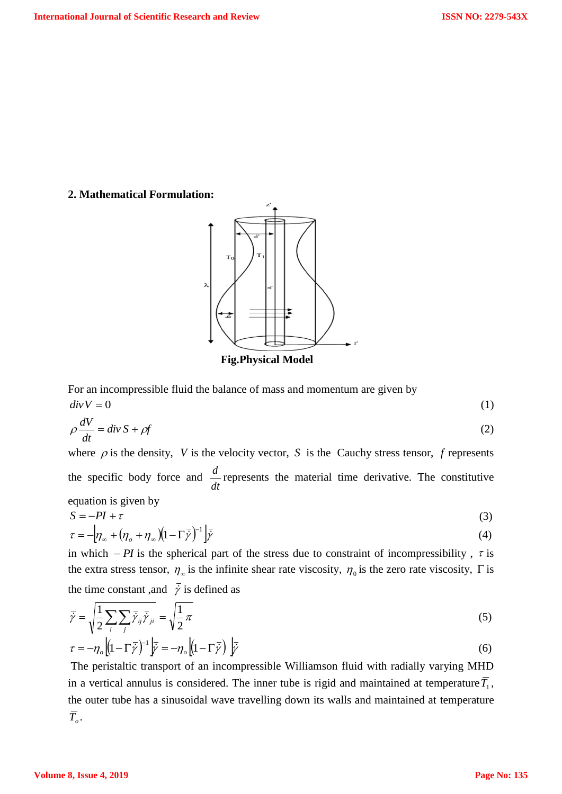#### **2. Mathematical Formulation:**



 **Fig.Physical Model**

For an incompressible fluid the balance of mass and momentum are given by  $div V = 0$  (1)

$$
\rho \frac{dV}{dt} = \text{div}\, S + \rho f \tag{2}
$$

where  $\rho$  is the density, V is the velocity vector, S is the Cauchy stress tensor, f represents the specific body force and *dt*  $\frac{d}{dx}$  represents the material time derivative. The constitutive equation is given by

$$
S = -PI + \tau \tag{3}
$$

$$
\tau = -\left[\eta_{\infty} + (\eta_o + \eta_{\infty})(1 - \Gamma \bar{\dot{\gamma}})^{-1}\right] \bar{\dot{\gamma}}
$$
\n(4)

in which  $-PI$  is the spherical part of the stress due to constraint of incompressibility,  $\tau$  is the extra stress tensor,  $\eta_{\infty}$  is the infinite shear rate viscosity,  $\eta_0$  is the zero rate viscosity,  $\Gamma$  is the time constant, and  $\overline{\dot{\gamma}}$  is defined as

$$
\overline{\dot{\gamma}} = \sqrt{\frac{1}{2} \sum_{i} \sum_{j} \overline{\dot{\gamma}}_{ij} \overline{\dot{\gamma}}_{ji}} = \sqrt{\frac{1}{2} \pi}
$$
\n(5)

$$
\tau = -\eta_o \left[ (1 - \Gamma \bar{y})^{-1} \right] \bar{y} = -\eta_o \left[ (1 - \Gamma \bar{y}) \right] \bar{y}
$$
\n(6)

The peristaltic transport of an incompressible Williamson fluid with radially varying MHD in a vertical annulus is considered. The inner tube is rigid and maintained at temperature  $T_1$ , the outer tube has a sinusoidal wave travelling down its walls and maintained at temperature  $\overline{T}_o$ .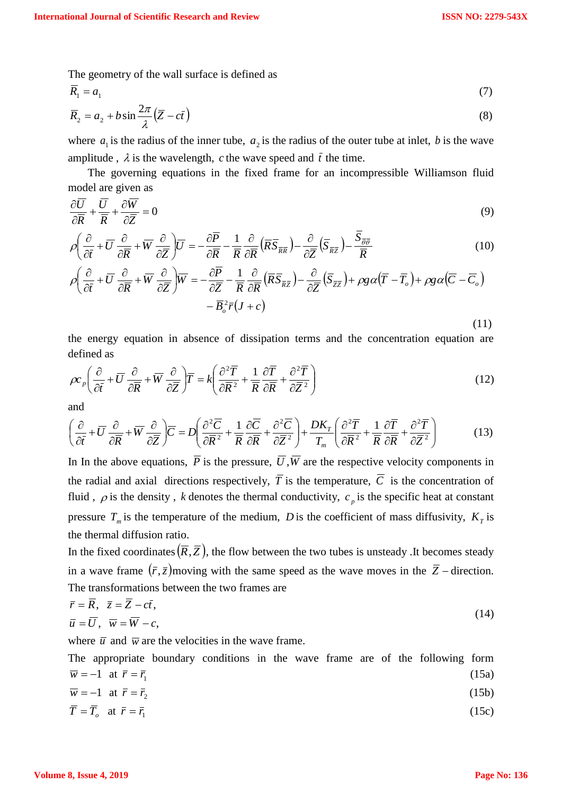The geometry of the wall surface is defined as

$$
\overline{R}_1 = a_1 \tag{7}
$$

$$
\overline{R}_2 = a_2 + b \sin \frac{2\pi}{\lambda} (\overline{Z} - c\overline{t})
$$
\n(8)

where  $a_1$  is the radius of the inner tube,  $a_2$  is the radius of the outer tube at inlet, b is the wave amplitude,  $\lambda$  is the wavelength, c the wave speed and  $\bar{t}$  the time.

 The governing equations in the fixed frame for an incompressible Williamson fluid model are given as

$$
\frac{\partial \overline{U}}{\partial \overline{R}} + \frac{\overline{U}}{\overline{R}} + \frac{\partial \overline{W}}{\partial \overline{Z}} = 0
$$
\n(9)

$$
\rho \left( \frac{\partial}{\partial \bar{t}} + \overline{U} \frac{\partial}{\partial \overline{R}} + \overline{W} \frac{\partial}{\partial \overline{Z}} \right) \overline{U} = -\frac{\partial \overline{P}}{\partial \overline{R}} - \frac{1}{\overline{R}} \frac{\partial}{\partial \overline{R}} \left( \overline{R} \overline{S}_{\overline{R} \overline{R}} \right) - \frac{\partial}{\partial \overline{Z}} \left( \overline{S}_{\overline{R} \overline{Z}} \right) - \frac{\overline{S}_{\overline{\theta} \overline{\theta}}}{\overline{R}} \tag{10}
$$

$$
\rho \left( \frac{\partial}{\partial \overline{t}} + \overline{U} \frac{\partial}{\partial \overline{R}} + \overline{W} \frac{\partial}{\partial \overline{Z}} \right) \overline{W} = -\frac{\partial \overline{P}}{\partial \overline{Z}} - \frac{1}{\overline{R}} \frac{\partial}{\partial \overline{R}} \left( \overline{R} \overline{S}_{\overline{R} \overline{Z}} \right) - \frac{\partial}{\partial \overline{Z}} \left( \overline{S}_{\overline{Z} \overline{Z}} \right) + \rho g \alpha (\overline{T} - \overline{T}_o) + \rho g \alpha (\overline{C} - \overline{C}_o)
$$

$$
- \overline{B}_o^2 \overline{r} (J + c)
$$

the energy equation in absence of dissipation terms and the concentration equation are defined as

(11)

$$
\rho c_p \left( \frac{\partial}{\partial \overline{t}} + \overline{U} \frac{\partial}{\partial \overline{R}} + \overline{W} \frac{\partial}{\partial \overline{Z}} \right) \overline{T} = k \left( \frac{\partial^2 \overline{T}}{\partial \overline{R}^2} + \frac{1}{\overline{R}} \frac{\partial \overline{T}}{\partial \overline{R}} + \frac{\partial^2 \overline{T}}{\partial \overline{Z}^2} \right)
$$
(12)

and

$$
\left(\frac{\partial}{\partial \bar{t}} + \overline{U} \frac{\partial}{\partial \overline{R}} + \overline{W} \frac{\partial}{\partial \overline{Z}}\right) \overline{C} = D \left(\frac{\partial^2 \overline{C}}{\partial \overline{R}^2} + \frac{1}{\overline{R}} \frac{\partial \overline{C}}{\partial \overline{R}} + \frac{\partial^2 \overline{C}}{\partial \overline{Z}^2}\right) + \frac{DK_T}{T_m} \left(\frac{\partial^2 \overline{T}}{\partial \overline{R}^2} + \frac{1}{\overline{R}} \frac{\partial \overline{T}}{\partial \overline{R}} + \frac{\partial^2 \overline{T}}{\partial \overline{Z}^2}\right) \tag{13}
$$

In In the above equations,  $P$  is the pressure,  $U$ ,  $W$  are the respective velocity components in the radial and axial directions respectively,  $T$  is the temperature,  $C$  is the concentration of fluid,  $\rho$  is the density, k denotes the thermal conductivity,  $c_p$  is the specific heat at constant pressure  $T_m$  is the temperature of the medium, *D* is the coefficient of mass diffusivity,  $K_T$  is the thermal diffusion ratio.

In the fixed coordinates  $(\overline{R}, \overline{Z})$ , the flow between the two tubes is unsteady. It becomes steady in a wave frame  $(\bar{r}, \bar{z})$  moving with the same speed as the wave moves in the  $\bar{Z}$  -direction. The transformations between the two frames are

$$
\overline{r} = \overline{R}, \quad \overline{z} = \overline{Z} - c\overline{t}, \n\overline{u} = \overline{U}, \quad \overline{w} = \overline{W} - c,
$$
\n(14)

where  $\bar{u}$  and  $\bar{w}$  are the velocities in the wave frame.

The appropriate boundary conditions in the wave frame are of the following form  $\overline{w} = -1$  at  $\overline{r} = \overline{r_1}$  $\bar{r} = \bar{r_1}$  (15a)

$$
\overline{w} = -1 \quad \text{at } \overline{r} = \overline{r}_2 \tag{15b}
$$

$$
\overline{T} = \overline{T}_o \quad \text{at } \overline{r} = \overline{r}_1 \tag{15c}
$$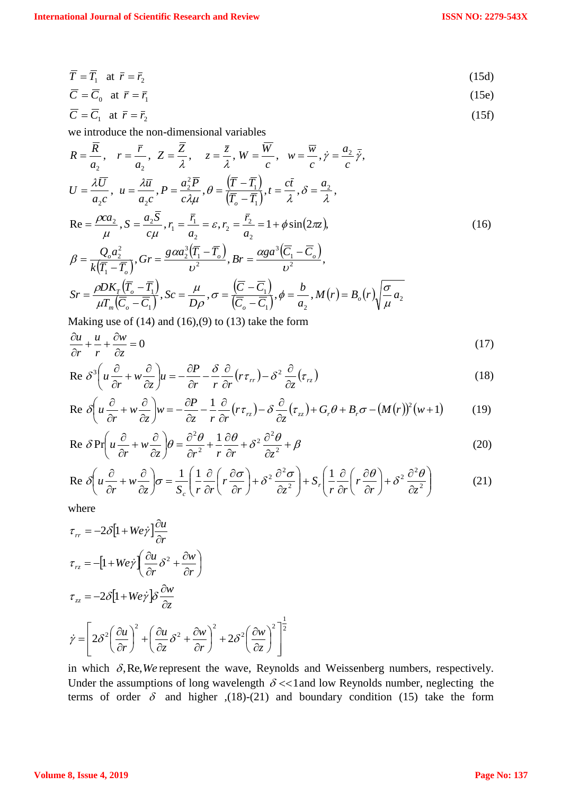$$
\overline{T} = \overline{T}_1 \quad \text{at } \overline{r} = \overline{r}_2 \tag{15d}
$$

$$
\overline{C} = \overline{C}_0 \quad \text{at } \overline{r} = \overline{r}_1 \tag{15e}
$$

$$
\overline{C} = \overline{C}_1 \quad \text{at } \overline{r} = \overline{r}_2 \tag{15f}
$$

we introduce the non-dimensional variables

$$
R = \frac{\overline{R}}{a_2}, \quad r = \frac{\overline{r}}{a_2}, \quad Z = \frac{\overline{Z}}{\lambda}, \quad Z = \frac{\overline{z}}{\lambda}, \quad W = \frac{\overline{W}}{c}, \quad W = \frac{\overline{w}}{c}, \quad \dot{\gamma} = \frac{a_2}{c}, \quad \dot{\gamma},
$$
\n
$$
U = \frac{\lambda \overline{U}}{a_2 c}, \quad u = \frac{\lambda \overline{u}}{a_2 c}, \quad P = \frac{a_2^2 \overline{P}}{c \lambda \mu}, \quad \theta = \frac{(\overline{r} - \overline{r_1})}{(\overline{r_0} - \overline{r_1})}, \quad t = \frac{c\overline{t}}{\lambda}, \quad \delta = \frac{a_2}{\lambda},
$$
\n
$$
\text{Re} = \frac{\rho c a_2}{\mu}, \quad S = \frac{a_2 \overline{S}}{c \mu}, \quad r_1 = \frac{\overline{r_1}}{a_2} = \varepsilon, \quad r_2 = \frac{\overline{r_2}}{a_2} = 1 + \phi \sin(2\pi \varepsilon),
$$
\n
$$
\beta = \frac{Q_o a_2^2}{k(\overline{r_1} - \overline{r_0})}, \quad Gr = \frac{g \alpha a_2^3 (\overline{r_1} - \overline{r_0})}{v^2}, \quad Br = \frac{\alpha g a^3 (\overline{C_1} - \overline{C_0})}{v^2},
$$
\n
$$
Sr = \frac{\rho D K_r (\overline{r_0} - \overline{r_1})}{\mu T_m (\overline{C_o} - \overline{C_1})}, \quad Sc = \frac{\mu}{D \rho}, \quad \sigma = \frac{(\overline{C} - \overline{C_1})}{(\overline{C_o} - \overline{C_1})}, \quad \phi = \frac{b}{a_2}, \quad M(r) = B_o(r) \sqrt{\frac{\sigma}{\mu}} a_2
$$
\n(16)

Making use of  $(14)$  and  $(16)$ , $(9)$  to  $(13)$  take the form

$$
\frac{\partial u}{\partial r} + \frac{u}{r} + \frac{\partial w}{\partial z} = 0\tag{17}
$$

$$
\operatorname{Re} \delta^3 \left( u \frac{\partial}{\partial r} + w \frac{\partial}{\partial z} \right) u = -\frac{\partial P}{\partial r} - \frac{\delta}{r} \frac{\partial}{\partial r} \left( r \tau_{rr} \right) - \delta^2 \frac{\partial}{\partial z} \left( \tau_{rz} \right) \tag{18}
$$

$$
\operatorname{Re} \delta \left( u \frac{\partial}{\partial r} + w \frac{\partial}{\partial z} \right) w = -\frac{\partial P}{\partial z} - \frac{1}{r} \frac{\partial}{\partial r} (r \tau_{rz}) - \delta \frac{\partial}{\partial z} (\tau_{zz}) + G_r \theta + B_r \sigma - (M(r))^2 (w+1) \tag{19}
$$

Re 
$$
\delta Pr \left( u \frac{\partial}{\partial r} + w \frac{\partial}{\partial z} \right) \theta = \frac{\partial^2 \theta}{\partial r^2} + \frac{1}{r} \frac{\partial \theta}{\partial r} + \delta^2 \frac{\partial^2 \theta}{\partial z^2} + \beta
$$
 (20)

$$
\operatorname{Re} \delta \left( u \frac{\partial}{\partial r} + w \frac{\partial}{\partial z} \right) \sigma = \frac{1}{S_c} \left( \frac{1}{r} \frac{\partial}{\partial r} \left( r \frac{\partial \sigma}{\partial r} \right) + \delta^2 \frac{\partial^2 \sigma}{\partial z^2} \right) + S_r \left( \frac{1}{r} \frac{\partial}{\partial r} \left( r \frac{\partial \theta}{\partial r} \right) + \delta^2 \frac{\partial^2 \theta}{\partial z^2} \right) \tag{21}
$$

where

$$
\tau_{rr} = -2\delta \left[ 1 + W e \dot{\gamma} \right] \frac{\partial u}{\partial r}
$$
  
\n
$$
\tau_{rz} = -\left[ 1 + W e \dot{\gamma} \left( \frac{\partial u}{\partial r} \delta^2 + \frac{\partial w}{\partial r} \right) \right]
$$
  
\n
$$
\tau_{zz} = -2\delta \left[ 1 + W e \dot{\gamma} \right] \delta \frac{\partial w}{\partial z}
$$
  
\n
$$
\dot{\gamma} = \left[ 2\delta^2 \left( \frac{\partial u}{\partial r} \right)^2 + \left( \frac{\partial u}{\partial z} \delta^2 + \frac{\partial w}{\partial r} \right)^2 + 2\delta^2 \left( \frac{\partial w}{\partial z} \right)^2 \right]^{\frac{1}{2}}
$$

in which  $\delta$ , Re, We represent the wave, Reynolds and Weissenberg numbers, respectively. Under the assumptions of long wavelength  $\delta \ll 1$  and low Reynolds number, neglecting the terms of order  $\delta$  and higher ,(18)-(21) and boundary condition (15) take the form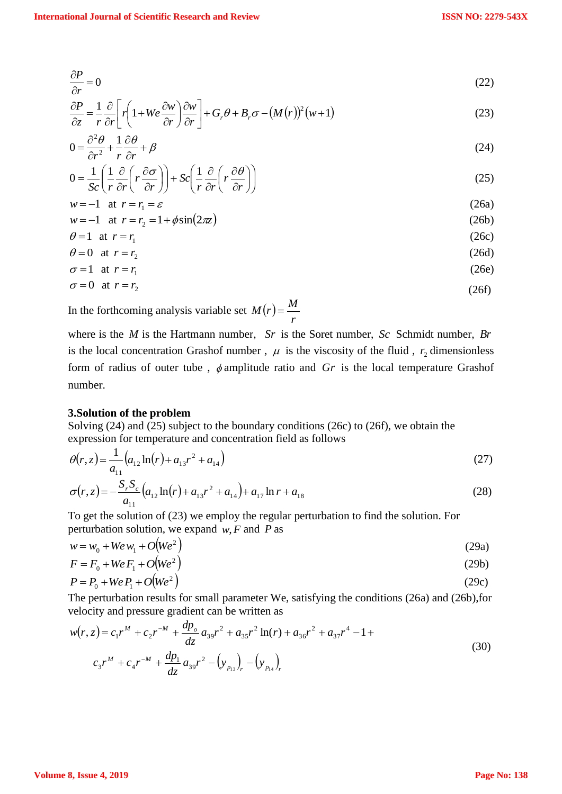$$
\frac{\partial P}{\partial r} = 0\tag{22}
$$

$$
\frac{\partial P}{\partial z} = \frac{1}{r} \frac{\partial}{\partial r} \left[ r \left( 1 + W e \frac{\partial w}{\partial r} \right) \frac{\partial w}{\partial r} \right] + G_r \theta + B_r \sigma - (M(r))^2 (w+1)
$$
\n(23)

$$
0 = \frac{\partial^2 \theta}{\partial r^2} + \frac{1}{r} \frac{\partial \theta}{\partial r} + \beta \tag{24}
$$

$$
0 = \frac{1}{Sc} \left( \frac{1}{r} \frac{\partial}{\partial r} \left( r \frac{\partial \sigma}{\partial r} \right) \right) + Sc \left( \frac{1}{r} \frac{\partial}{\partial r} \left( r \frac{\partial \theta}{\partial r} \right) \right) \tag{25}
$$

$$
w = -1 \quad \text{at} \quad r = r_1 = \varepsilon \tag{26a}
$$

$$
w = -1 \quad \text{at} \quad r = r_2 = 1 + \phi \sin(2\pi z) \tag{26b}
$$

$$
\theta = 1 \quad \text{at} \quad r = r_1 \tag{26c}
$$
\n
$$
\theta = 0 \quad \text{at} \quad r = r \tag{26d}
$$

$$
\theta = 0 \quad \text{at } r = r_2 \tag{26d}
$$
\n
$$
\sigma = 1 \quad \text{at } r = r_1 \tag{26e}
$$

$$
\sigma = 1 \quad \text{at} \quad r = r_1 \tag{26e}
$$
\n
$$
\sigma = 0 \quad \text{at} \quad r = r_2 \tag{26f}
$$

$$
\sigma = 0 \quad \text{at } r = r_2 \tag{26f}
$$

In the forthcoming analysis variable set  $M(r)$ *r*  $M(r) = \frac{M}{r}$ 

where is the *M* is the Hartmann number, *Sr* is the Soret number, *Sc* Schmidt number, *Br* is the local concentration Grashof number,  $\mu$  is the viscosity of the fluid,  $r_2$  dimensionless form of radius of outer tube,  $\phi$  amplitude ratio and Gr is the local temperature Grashof number.

#### **3.Solution of the problem**

Solving (24) and (25) subject to the boundary conditions (26c) to (26f), we obtain the expression for temperature and concentration field as follows

$$
\theta(r,z) = \frac{1}{a_{11}} \left( a_{12} \ln(r) + a_{13} r^2 + a_{14} \right) \tag{27}
$$

$$
\sigma(r,z) = -\frac{S_r S_c}{a_{11}} \left( a_{12} \ln(r) + a_{13} r^2 + a_{14} \right) + a_{17} \ln r + a_{18}
$$
\n(28)

To get the solution of (23) we employ the regular perturbation to find the solution. For perturbation solution, we expand  $w$ ,  $F$  and  $P$  as

$$
w = w_0 + W e w_1 + O(W e^2)
$$
 (29a)

$$
F = F_0 + WeF_1 + O(We^2)
$$
\n<sup>(29b)</sup>

$$
P = P_0 + WeP_1 + O(We^2)
$$
\n<sup>(29c)</sup>

The perturbation results for small parameter We, satisfying the conditions (26a) and (26b),for velocity and pressure gradient can be written as

$$
w(r, z) = c_1 r^M + c_2 r^{-M} + \frac{dp_o}{dz} a_{39} r^2 + a_{35} r^2 \ln(r) + a_{36} r^2 + a_{37} r^4 - 1 +
$$
  

$$
c_3 r^M + c_4 r^{-M} + \frac{dp_1}{dz} a_{39} r^2 - (y_{p_{13}})_r - (y_{p_{14}})_r
$$
 (30)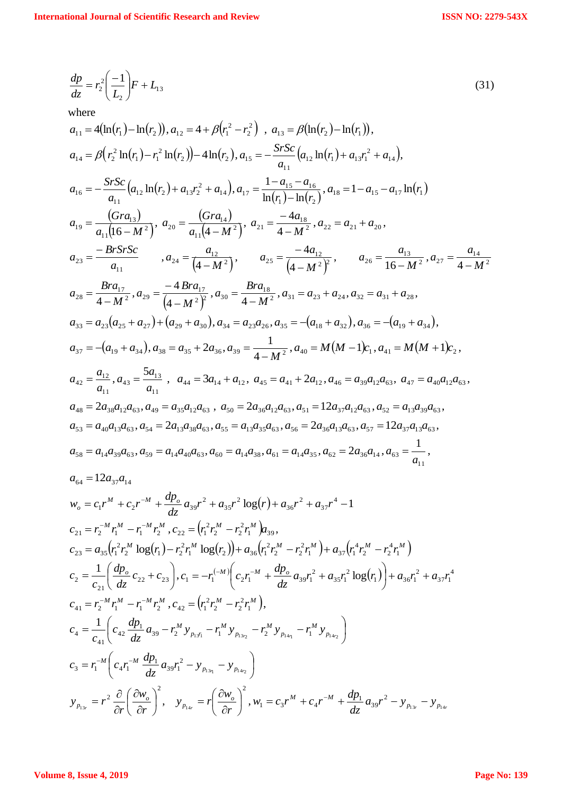$$
\frac{dp}{dz} = r_2^2 \left(\frac{-1}{L_2}\right) F + L_{13} \tag{31}
$$

where

$$
a_{11} = 4(\ln(r_1) - \ln(r_2)), a_{12} = 4 + \beta(r_1^2 - r_2^2), a_{13} = \beta(\ln(r_2) - \ln(r_1)),
$$
  
\n
$$
a_{14} = \beta(r_2^2 \ln(r_1) - r_1^2 \ln(r_2)) - 4\ln(r_2), a_{15} = -\frac{SrSc}{a_{11}}(a_{12} \ln(r_1) + a_{13}r_1^2 + a_{14}),
$$
  
\n
$$
a_{16} = -\frac{SrSc}{a_{11}}(a_{12} \ln(r_2) + a_{13}r_2^2 + a_{14}), a_{17} = \frac{1 - a_{15} - a_{16}}{\ln(r_1) - \ln(r_2)}, a_{18} = 1 - a_{15} - a_{17} \ln(r_1)
$$
  
\n
$$
a_{19} = \frac{(Gra_{13})}{a_{11}[(6-M^2)}, a_{20} = \frac{(Gra_{14})}{a_{11}(4-M^2)}, a_{21} = \frac{-4a_{18}}{4-M^2}, a_{22} = a_{21} + a_{20},
$$
  
\n
$$
a_{23} = \frac{-BrSrSc}{a_{11}}, a_{24} = \frac{a_{12}}{(4-M^2)}, a_{25} = \frac{-4a_{12}}{(4-M^2)^2}, a_{26} = \frac{a_{13}}{16-M^2}, a_{27} = \frac{a_{14}}{4-M^2}
$$
  
\n
$$
a_{28} = \frac{Bra_{17}}{4-M^2}, a_{29} = \frac{-4Bra_{17}}{(4-M^2)^2}, a_{30} = \frac{Bra_{18}}{4-M^2}, a_{31} = a_{23} + a_{24}, a_{32} = a_{31} + a_{28},
$$
  
\n
$$
a_{33} = a_{23}(a_{25} + a_{27}) + (a_{29} + a_{30}), a_{34} = a_{23}a_{26}, a_{35} = -(a_{18} + a_{32}), a_{36} = -(a_{19} + a_{34}),
$$
  
\n
$$
a_{37} = -(a_{19} + a_{34}), a_{38} = a_{35} + 2a
$$

$$
c_{21} = r_2^{-M} r_1^M - r_1^{-M} r_2^M, c_{22} = (r_1^2 r_2^M - r_2^2 r_1^M) a_{39},
$$
  
\n
$$
c_{23} = a_{35} (r_1^2 r_2^M \log(r_1) - r_2^2 r_1^M \log(r_2)) + a_{36} (r_1^2 r_2^M - r_2^2 r_1^M) + a_{37} (r_1^4 r_2^M - r_2^4 r_1^M)
$$
  
\n
$$
c_2 = \frac{1}{c_{21}} \left( \frac{dp_o}{dz} c_{22} + c_{23} \right), c_1 = -r_1^{(-M)} \left( c_2 r_1^M + \frac{dp_o}{dz} a_{39} r_1^2 + a_{35} r_1^2 \log(r_1) \right) + a_{36} r_1^2 + a_{37} r_1^4
$$
  
\n
$$
c_{41} = r_2^{-M} r_1^M - r_1^{-M} r_2^M, c_{42} = (r_1^2 r_2^M - r_2^2 r_1^M),
$$
  
\n
$$
c_4 = \frac{1}{c_{41}} \left( c_{42} \frac{dp_1}{dz} a_{39} - r_2^M y_{p_1 y_1} - r_1^M y_{p_1 y_2} - r_2^M y_{p_1 y_1} - r_1^M y_{p_1 y_2} \right)
$$
  
\n
$$
c_3 = r_1^{-M} \left( c_4 r_1^{-M} \frac{dp_1}{dz} a_{39} r_1^2 - y_{p_1 y_1} - y_{p_1 y_2} \right)
$$
  
\n
$$
y_{p_{13r}} = r^2 \frac{\partial}{\partial r} \left( \frac{\partial w_o}{\partial r} \right)^2, \quad y_{p_{14r}} = r \left( \frac{\partial w_o}{\partial r} \right)^2, w_1 = c_3 r^M + c_4 r^{-M} + \frac{dp_1}{dz} a_{39} r^2 - y_{p_{13r}} - y_{p_{14r}}
$$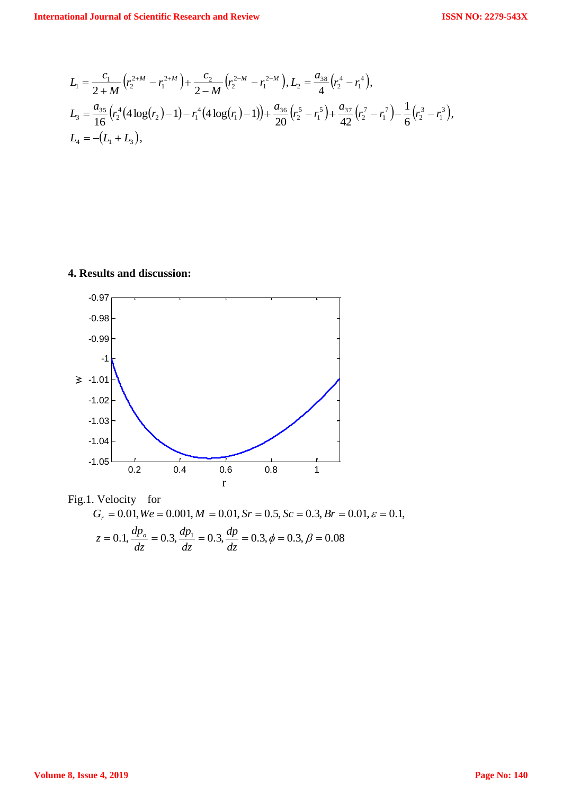$$
L_1 = \frac{c_1}{2+M} \left( r_2^{2+M} - r_1^{2+M} \right) + \frac{c_2}{2-M} \left( r_2^{2-M} - r_1^{2-M} \right), L_2 = \frac{a_{38}}{4} \left( r_2^4 - r_1^4 \right),
$$
  
\n
$$
L_3 = \frac{a_{35}}{16} \left( r_2^4 \left( 4 \log(r_2) - 1 \right) - r_1^4 \left( 4 \log(r_1) - 1 \right) \right) + \frac{a_{36}}{20} \left( r_2^5 - r_1^5 \right) + \frac{a_{37}}{42} \left( r_2^7 - r_1^7 \right) - \frac{1}{6} \left( r_2^3 - r_1^3 \right),
$$
  
\n
$$
L_4 = -(L_1 + L_3),
$$

#### **4. Results and discussion:**



Fig.1. Velocity for  $= 0.1, \frac{dP_o}{dz} = 0.3, \frac{dP_1}{dz} = 0.3, \frac{dP}{dz} = 0.3, \phi = 0.3, \beta = 0.08$  $G_r = 0.01, \text{We} = 0.001, \text{M} = 0.01, \text{Sr} = 0.5, \text{Sc} = 0.3, \text{Br} = 0.01, \varepsilon = 0.1,$ *dp dz dp dz*  $z = 0.1, \frac{dp_{o}}{dt}$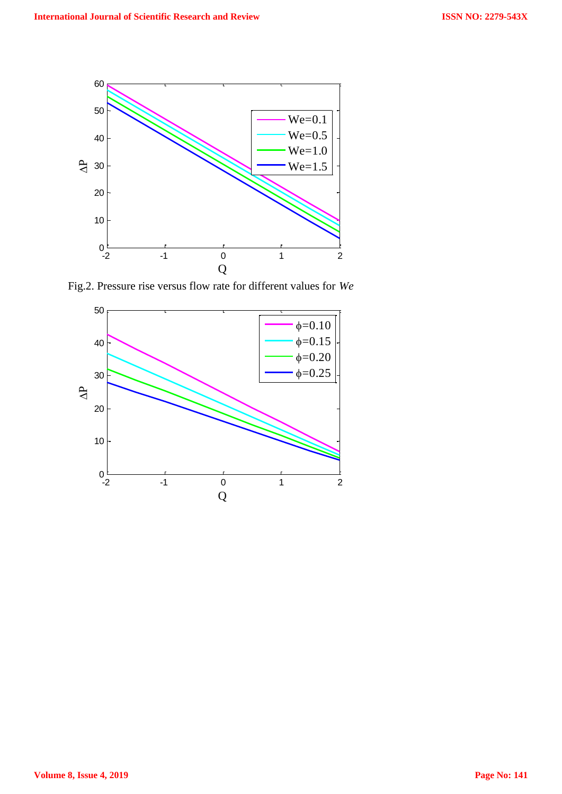

Fig.2. Pressure rise versus flow rate for different values for *We*

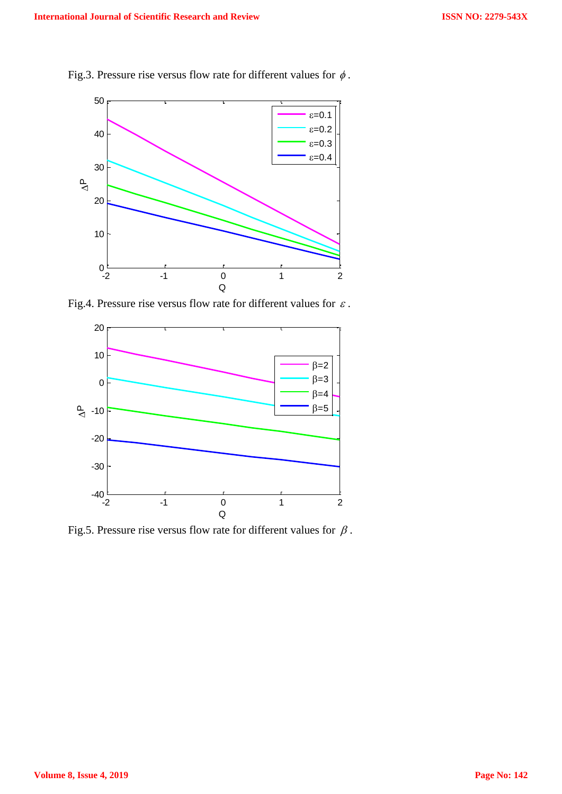

Fig.3. Pressure rise versus flow rate for different values for  $\phi$ .

Fig.4. Pressure rise versus flow rate for different values for  $\varepsilon$ .



Fig.5. Pressure rise versus flow rate for different values for  $\beta$ .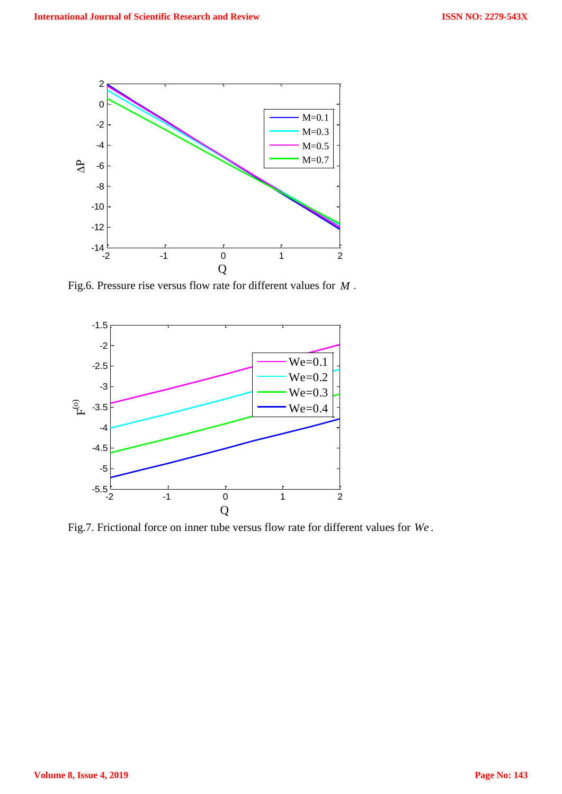

Fig.6. Pressure rise versus flow rate for different values for *M* .



Fig.7. Frictional force on inner tube versus flow rate for different values for *We* .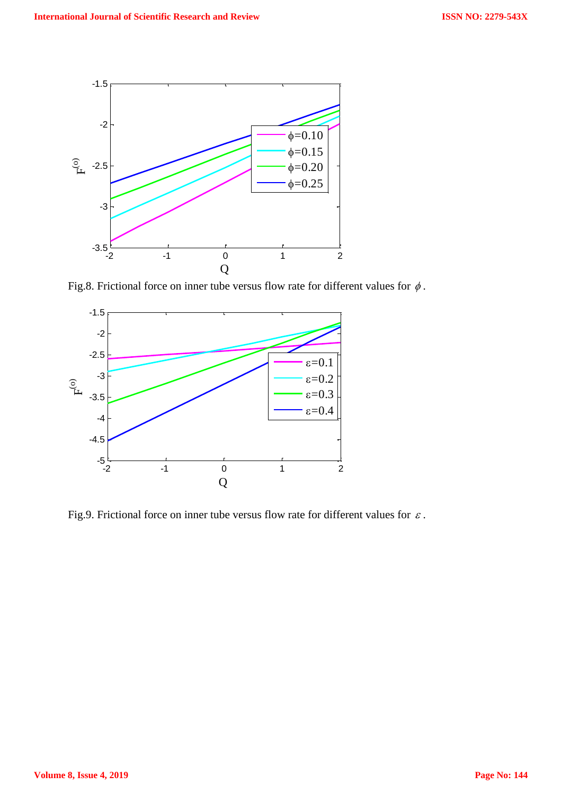

Fig.8. Frictional force on inner tube versus flow rate for different values for  $\phi$ .



Fig.9. Frictional force on inner tube versus flow rate for different values for  $\varepsilon$ .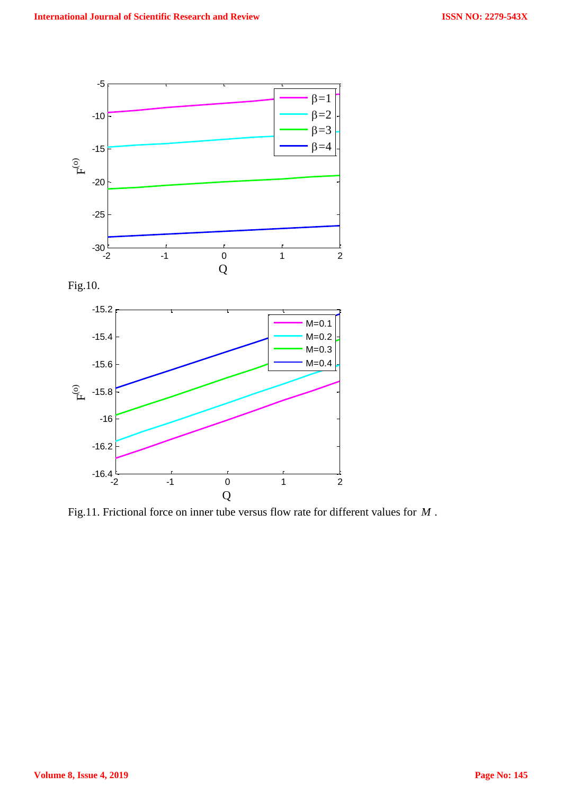

Fig.11. Frictional force on inner tube versus flow rate for different values for *M* .

Q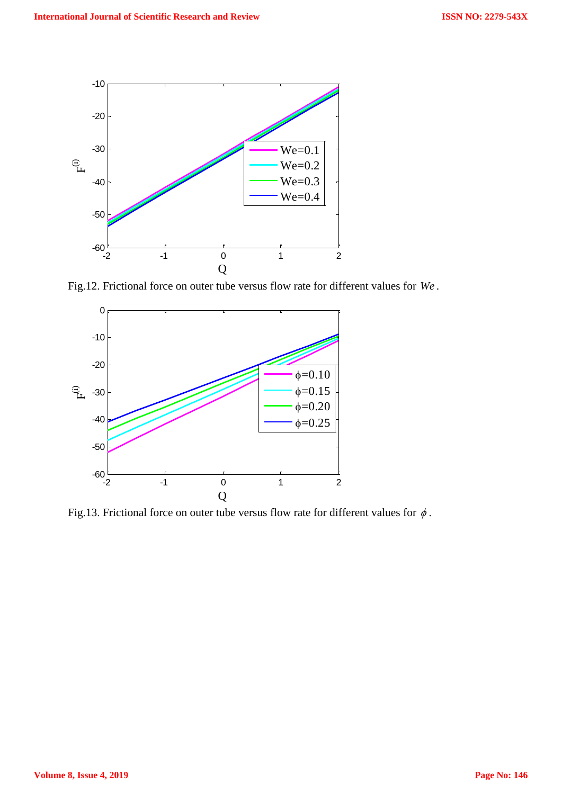

Fig.12. Frictional force on outer tube versus flow rate for different values for *We* .



Fig.13. Frictional force on outer tube versus flow rate for different values for  $\phi$ .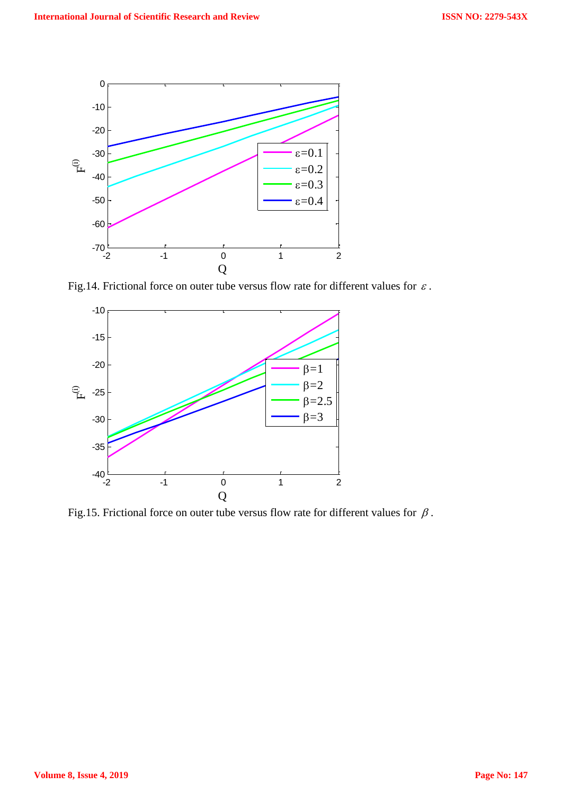

Fig.14. Frictional force on outer tube versus flow rate for different values for  $\varepsilon$ .



Fig.15. Frictional force on outer tube versus flow rate for different values for  $\beta$ .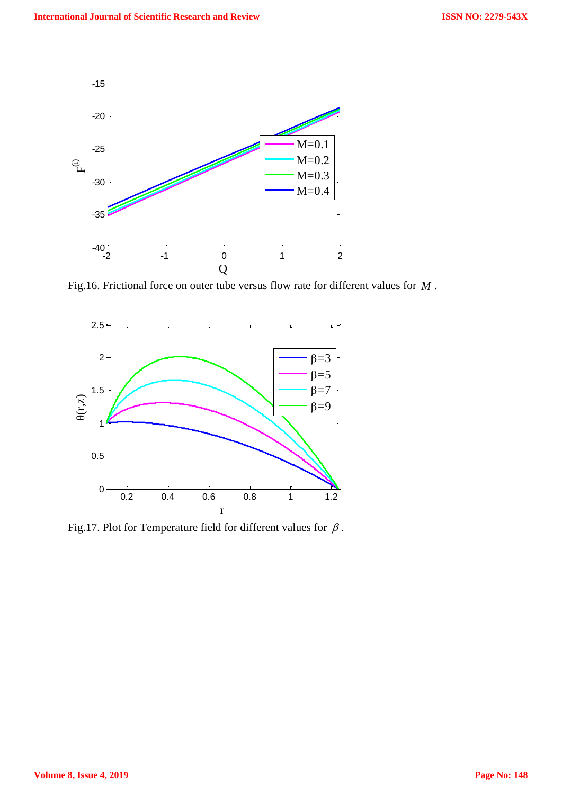

Fig.16. Frictional force on outer tube versus flow rate for different values for *M* .



Fig.17. Plot for Temperature field for different values for  $\beta$ .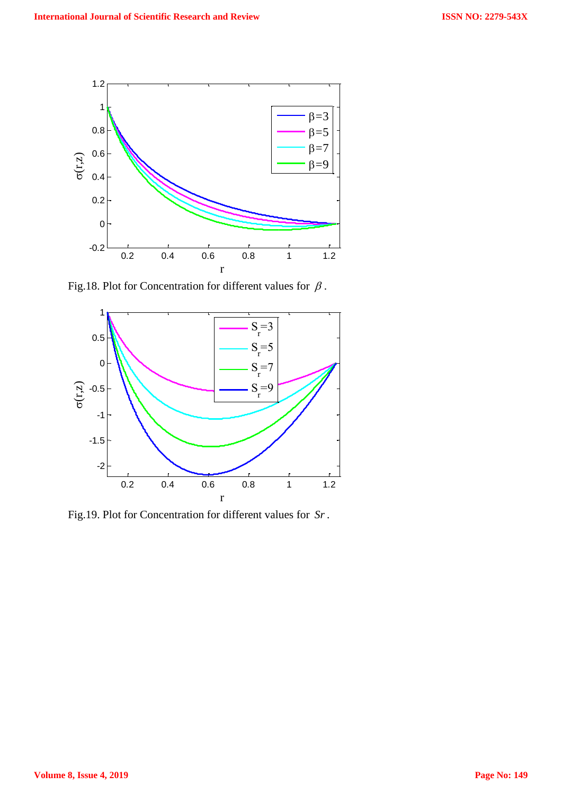

Fig.18. Plot for Concentration for different values for  $\beta$ .



Fig.19. Plot for Concentration for different values for *Sr*.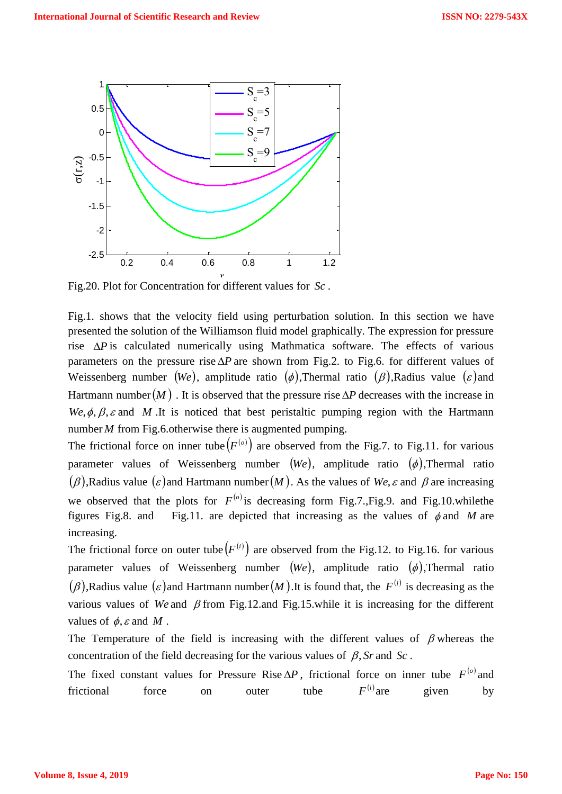

Fig.20. Plot for Concentration for different values for *Sc* .

Fig.1. shows that the velocity field using perturbation solution. In this section we have presented the solution of the Williamson fluid model graphically. The expression for pressure rise  $\Delta P$  is calculated numerically using Mathmatica software. The effects of various parameters on the pressure rise  $\Delta P$  are shown from Fig.2. to Fig.6. for different values of Weissenberg number  $(W_e)$ , amplitude ratio  $(\phi)$ , Thermal ratio  $(\beta)$ , Radius value  $(\varepsilon)$  and Hartmann number  $(M)$ . It is observed that the pressure rise  $\Delta P$  decreases with the increase in  $We, \phi, \beta, \varepsilon$  and M. It is noticed that best peristaltic pumping region with the Hartmann number *M* from Fig.6.otherwise there is augmented pumping.

The frictional force on inner tube  $(F^{(o)})$  are observed from the Fig.7. to Fig.11. for various parameter values of Weissenberg number  $(W_e)$ , amplitude ratio  $(\phi)$ , Thermal ratio  $(\beta)$ ,Radius value  $(\varepsilon)$  and Hartmann number  $(M)$ . As the values of We,  $\varepsilon$  and  $\beta$  are increasing we observed that the plots for  $F^{(0)}$  is decreasing form Fig.7., Fig.9. and Fig.10.whilethe figures Fig.8. and Fig.11. are depicted that increasing as the values of  $\phi$  and M are increasing.

The frictional force on outer tube  $(F^{(i)})$  are observed from the Fig.12. to Fig.16. for various parameter values of Weissenberg number  $(W_e)$ , amplitude ratio  $(\phi)$ , Thermal ratio  $(\beta)$ ,Radius value  $(\varepsilon)$  and Hartmann number  $(M)$ .It is found that, the  $F^{(i)}$  is decreasing as the various values of We and  $\beta$  from Fig.12.and Fig.15.while it is increasing for the different values of  $\phi$ ,  $\varepsilon$  and  $M$ .

The Temperature of the field is increasing with the different values of  $\beta$  whereas the concentration of the field decreasing for the various values of  $\beta$ , Sr and Sc.

The fixed constant values for Pressure Rise  $\Delta P$ , frictional force on inner tube  $F^{(0)}$  and frictional force on outer tube  $F^{(i)}$  are given by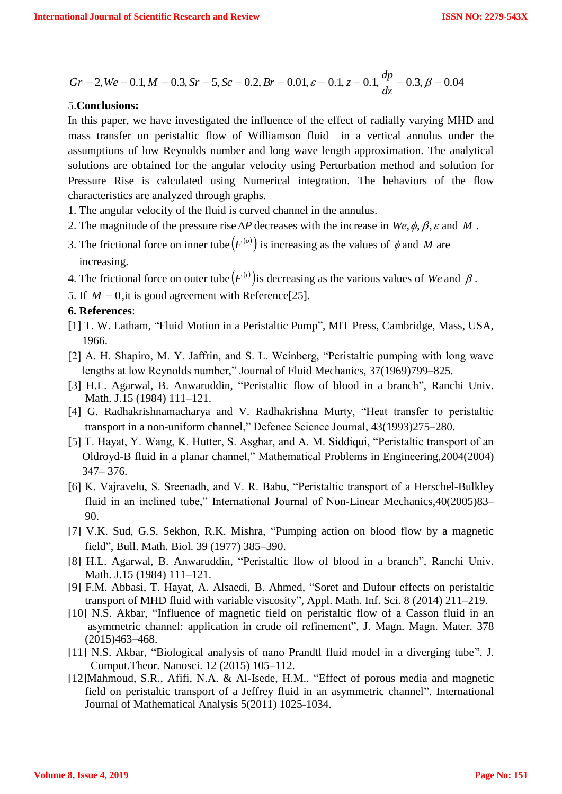$$
Gr = 2
$$
,  $We = 0.1$ ,  $M = 0.3$ ,  $Sr = 5$ ,  $Sc = 0.2$ ,  $Br = 0.01$ ,  $\varepsilon = 0.1$ ,  $z = 0.1$ ,  $\frac{dp}{dz} = 0.3$ ,  $\beta = 0.04$ 

#### 5.**Conclusions:**

In this paper, we have investigated the influence of the effect of radially varying MHD and mass transfer on peristaltic flow of Williamson fluid in a vertical annulus under the assumptions of low Reynolds number and long wave length approximation. The analytical solutions are obtained for the angular velocity using Perturbation method and solution for Pressure Rise is calculated using Numerical integration. The behaviors of the flow characteristics are analyzed through graphs.

- 1. The angular velocity of the fluid is curved channel in the annulus.
- 2. The magnitude of the pressure rise  $\Delta P$  decreases with the increase in  $We, \phi, \beta, \varepsilon$  and M.
- 3. The frictional force on inner tube  $(F^{(o)})$  is increasing as the values of  $\phi$  and M are increasing.
- 4. The frictional force on outer tube  $(F^{(i)})$  is decreasing as the various values of We and  $\beta$ .
- 5. If  $M = 0$ , it is good agreement with Reference<sup>[25]</sup>.

#### **6. References**:

- [1] T. W. Latham, "Fluid Motion in a Peristaltic Pump", MIT Press, Cambridge, Mass, USA, 1966.
- [2] A. H. Shapiro, M. Y. Jaffrin, and S. L. Weinberg, "Peristaltic pumping with long wave lengths at low Reynolds number," Journal of Fluid Mechanics, 37(1969)799–825.
- [3] H.L. Agarwal, B. Anwaruddin, "Peristaltic flow of blood in a branch", Ranchi Univ. Math. J.15 (1984) 111–121.
- [4] G. Radhakrishnamacharya and V. Radhakrishna Murty, "Heat transfer to peristaltic transport in a non-uniform channel," Defence Science Journal, 43(1993)275–280.
- [5] T. Hayat, Y. Wang, K. Hutter, S. Asghar, and A. M. Siddiqui, "Peristaltic transport of an Oldroyd-B fluid in a planar channel," Mathematical Problems in Engineering,2004(2004) 347– 376.
- [6] K. Vajravelu, S. Sreenadh, and V. R. Babu, "Peristaltic transport of a Herschel-Bulkley fluid in an inclined tube," International Journal of Non-Linear Mechanics,40(2005)83– 90.
- [7] V.K. Sud, G.S. Sekhon, R.K. Mishra, "Pumping action on blood flow by a magnetic field", Bull. Math. Biol. 39 (1977) 385–390.
- [8] H.L. Agarwal, B. Anwaruddin, "Peristaltic flow of blood in a branch", Ranchi Univ. Math. J.15 (1984) 111–121.
- [9] F.M. Abbasi, T. Hayat, A. Alsaedi, B. Ahmed, "Soret and Dufour effects on peristaltic transport of MHD fluid with variable viscosity", Appl. Math. Inf. Sci. 8 (2014) 211–219.
- [10] N.S. Akbar, "Influence of magnetic field on peristaltic flow of a Casson fluid in an asymmetric channel: application in crude oil refinement", J. Magn. Magn. Mater. 378 (2015)463–468.
- [11] N.S. Akbar, "Biological analysis of nano Prandtl fluid model in a diverging tube", J. Comput.Theor. Nanosci. 12 (2015) 105–112.
- [12]Mahmoud, S.R., Afifi, N.A. & Al-Isede, H.M.. "Effect of porous media and magnetic field on peristaltic transport of a Jeffrey fluid in an asymmetric channel". International Journal of Mathematical Analysis 5(2011) 1025-1034.